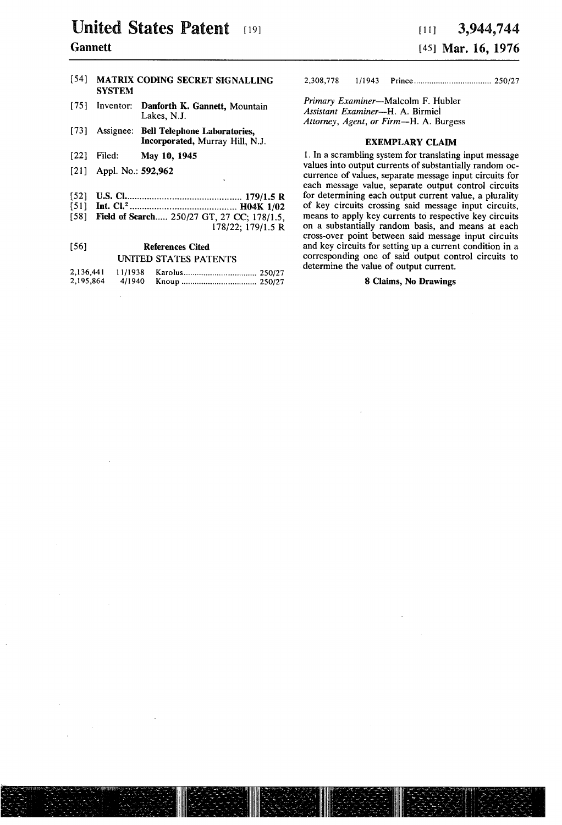# United States Patent [19] **Gannett**

|      | <b>SYSTEM</b>             | [54] MATRIX CODING SECRET SIGNALLING                                           |
|------|---------------------------|--------------------------------------------------------------------------------|
| 1751 |                           | Inventor: Danforth K. Gannett, Mountain<br>Lakes, N.J.                         |
|      |                           | [73] Assignee: Bell Telephone Laboratories,<br>Incorporated, Murray Hill, N.J. |
| [22] | Filed:                    | May 10, 1945                                                                   |
|      | $[21]$ Appl. No.: 592,962 | ٠                                                                              |

- [52] US. Cl ............................................. .. 179/15 R
- [51] Int. Cl.2 ......................................... .. H04K l/02
- [58] Field of Search..... 250/27 GT, 27 CC; 178/1.5, 178/22; 179/15 R

#### [56] References Cited UNITED STATES PATENTS  $\sim$  100  $\sim$  111  $11/1938 - V_2$

| 4,150,441 | 11/1938 |  |
|-----------|---------|--|
| 2,195,864 | 4/1940  |  |

2,308,778 l/l943 Prince ................................. .. 250/27

Primary Examiner-Malcolm F. Hubler Assistant Examiner-H. A. Birmiel Attorney, Agent, or Firm-H. A. Burgess

#### EXEMPLARY CLAIM

1. In a scrambling system for translating input message values into output currents of substantially random oc currence of values, separate message input circuits for each message value, separate output control circuits for determining each output current value, a plurality of key circuits crossing said message input circuits, on a substantially random basis, and means at each cross-over point between said message input circuits and key circuits for setting up a current condition in a corresponding one of said output control circuits to determine the value of output current.

## 8 Claims, No Drawings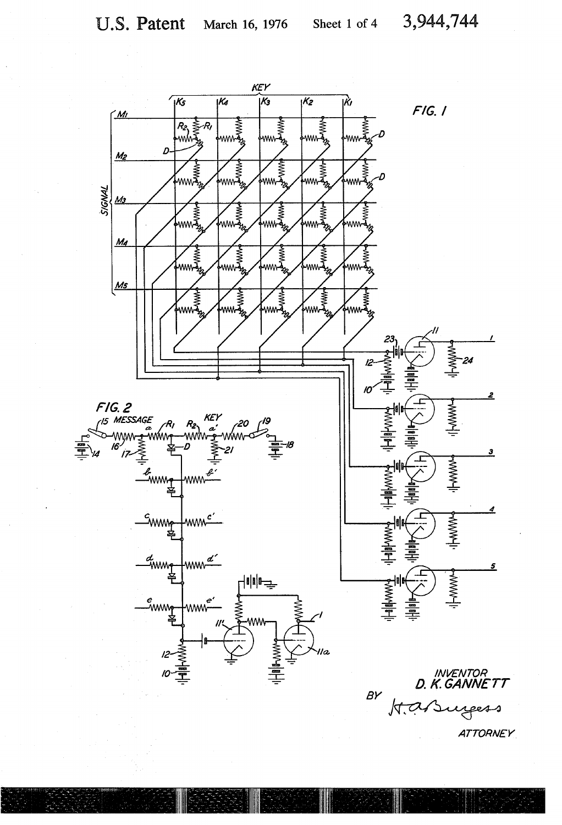

**ATTORNEY**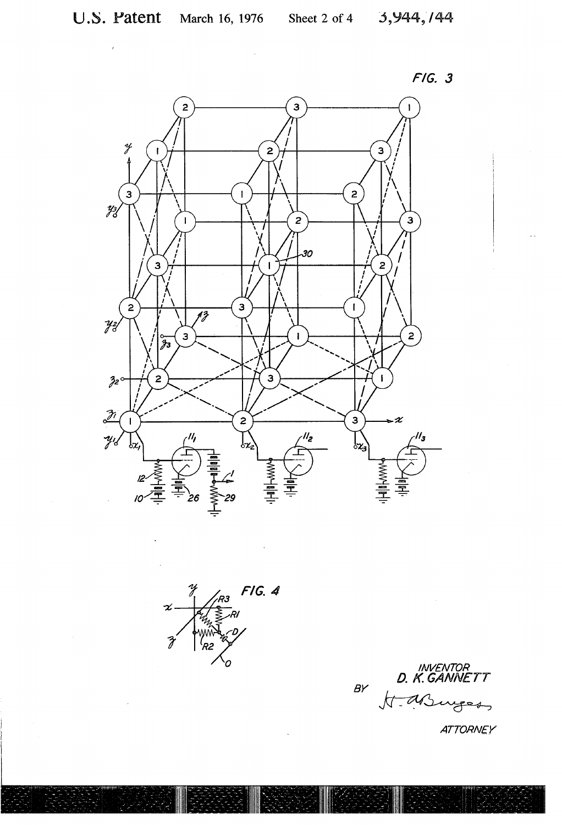





**ATTORNEY**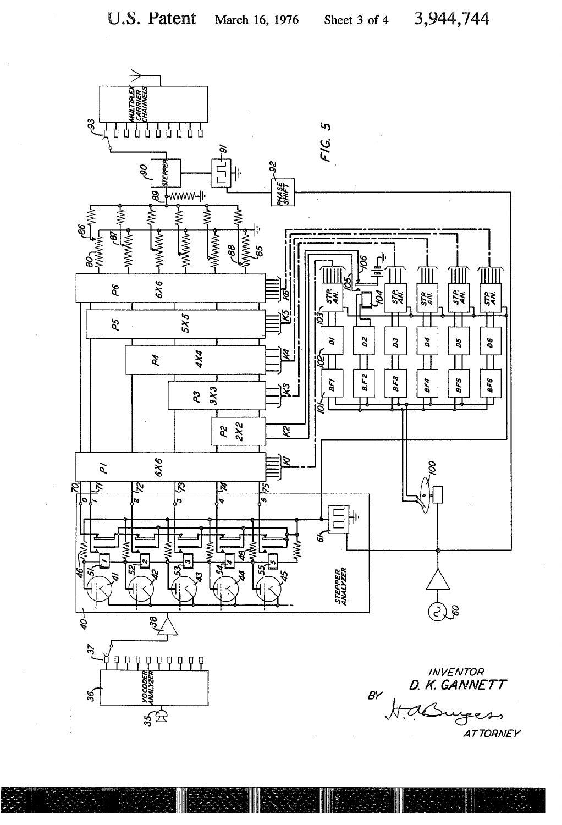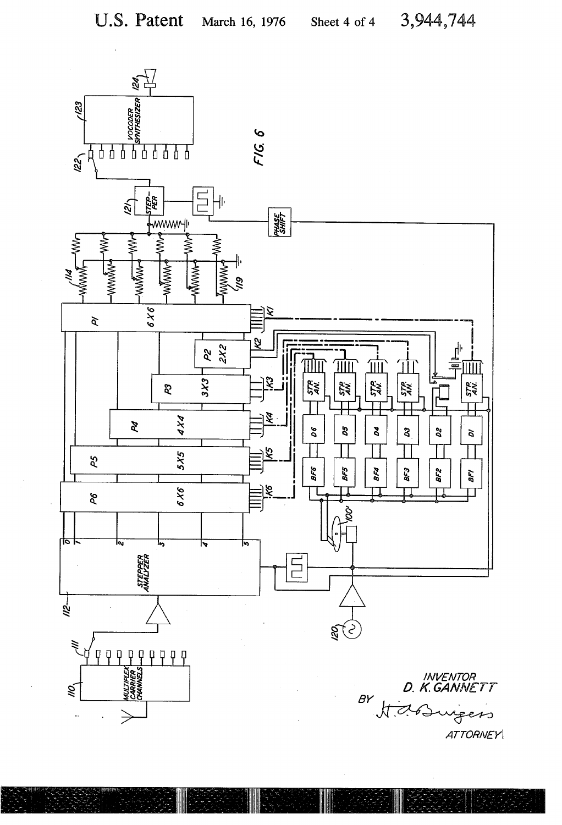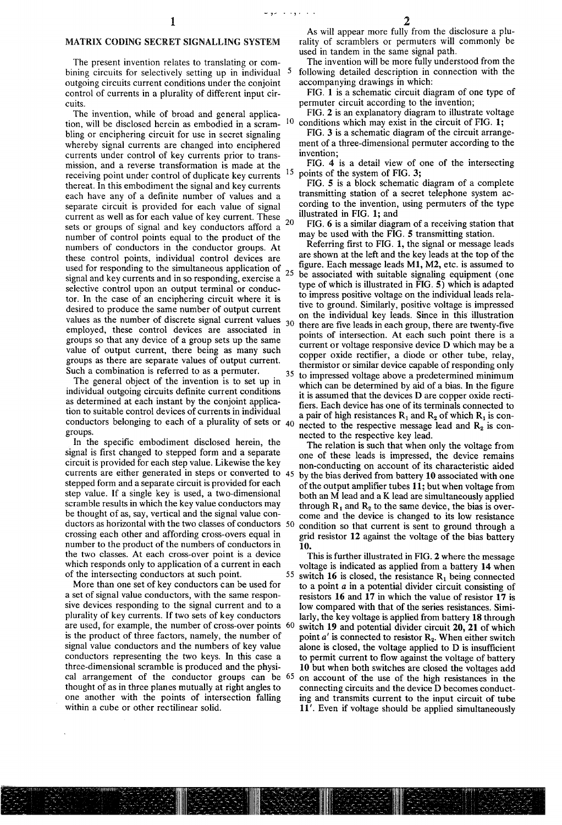### MATRIX CODING SECRET SIGNALLING SYSTEM

The present invention relates to translating or com bining circuits for selectively setting up in individual <sup>5</sup> outgoing circuits current conditions under the conjoint control of currents in a plurality of different input cir cuits.

The invention, while of broad and general applica tion, will be disclosed herein as embodied in a scram- <sup>10</sup> bling or enciphering circuit for use in secret signaling whereby signal currents are changed into enciphered currents under control of key currents prior to trans mission, and a reverse transformation is made at the<br>receiving point under control of duplicate key currents 15 receiving point under control of duplicate key currents thereat. In this embodiment the signal and key currents each have any of a definite number of values and a separate circuit is provided for each value of signal current as well as for each value of key current. These sets or groups of signal and key conductors afford a number of control points equal to the product of the numbers of conductors in the conductor groups. At these control points, individual control devices are used for responding to the simultaneous application of  $_{25}$ signal and key currents and in so responding, exercise a selective control upon an output terminal or conduc tor. In the case of an enciphering circuit where it is desired to produce the same number of output current values as the number of discrete signal current values  $_{30}$ employed, these control devices are associated in groups so that any device of a group sets up the same value of output current, there being as many such groups as there are separate values of output current. Such a combination is referred to as a permuter. 20

The general object of the invention is to set up in individual outgoing circuits definite current conditions as determined at each instant by the conjoint applica tion to suitable control devices of currents in individual conductors belonging to each of a plurality of sets or groups.

In the specific embodiment disclosed herein, the signal is first changed to stepped form and a separate circuit is provided for each step value. Likewise the key currents are either generated in steps or converted to 45 stepped form and a separate circuit is provided for each step value. If a single key is used, a two-dimensional scramble results in which the key value conductors may be thought of as, say, vertical and the signal value con ductors as horizontal with the two classes of conductors 50 crossing each other and affording cross-overs equal in number to the product of the numbers of conductors in the two classes. At each cross-over point is a device which responds only to application of a current in each of the intersecting conductors at such point.

More than one set of key conductors can be used for a set of signal value conductors, with the same respon sive devices responding to the signal current and to a plurality of key currents. If two sets of key conductors are used, for example, the number of cross-over points 60 is the product of three factors, namely, the number of signal value conductors and the numbers of key value conductors representing the two keys. In this case a three-dimensional scramble is produced and the physi cal arrangement of the conductor groups can be 65 thought of as in three planes mutually at right angles to one another with the points of intersection falling within a cube or other rectilinear solid.

2

The invention will be more fully understood from the following detailed description in connection with the accompanying drawings in which:

FIG. 1 is a schematic circuit diagram of one type of permuter circuit according to the invention;

FIG. 2 is an explanatory diagram to illustrate voltage conditions which may exist in the circuit of FIG. 1;

FIG. 3 is a schematic diagram of the circuit arrange ment of a three-dimensional permuter according to the invention;

FIG. 4 is a detail view of one of the intersecting points of the system of FIG. 3;

FIG. 5 is a block schematic diagram of a complete transmitting station of a secret telephone system ac cording to the invention, using permuters of the type illustrated in FIG. 1; and

FIG. 6 is a similar diagram of a receiving station that may be used with the FIG. 5 transmitting station.

35 Referring first to FIG. 1, the signal or message leads are shown at the left and the key leads at the top of the figure. Each message leads  $M1$ ,  $M2$ , etc. is assumed to be associated with suitable signaling equipment (one type of which is illustrated in FIG. 5) which is adapted to impress positive voltage on the individual leads rela tive to ground. Similarly, positive voltage is impressed on the individual key leads. Since in this illustration there are five leads in each group, there are twenty-five points of intersection. At each such point there is a current or voltage responsive device D which may be a copper oxide rectifier, a diode or other tube, relay, thermistor or similar device capable of responding only to impressed voltage above a predetermined minimum which can be determined by aid of a bias. In the figure it is assumed that the devices D are copper oxide recti fiers. Each device has one of its terminals connected to

a pair of high resistances  $R_1$  and  $R_2$  of which  $R_1$  is connected to the respective message lead and  $R_2$  is connected to the respective key lead.

The relation is such that when only the voltage from one of these leads is impressed, the device remains non-conducting on account of its characteristic aided by the bias derived from battery 10 associated with one of the output amplifier tubes  $11$ ; but when voltage from both an M lead and a K lead are simultaneously applied<br>through  $R_1$  and  $R_2$  to the same device, the bias is overcome and the device is changed to its low resistance condition so that current is sent to ground through a grid resistor 12 against the voltage of the bias battery 10.

55 This is further illustrated in FIG. 2 where the message voltage is indicated as applied from a battery 14 when switch 16 is closed, the resistance  $R_1$  being connected to a point a in a potential divider circuit consisting of resistors 16 and 17 in which the value of resistor 17 is low compared with that of the series resistances. Simi larly, the key voltage is applied from battery 18 through switch 19 and potential divider circuit 20, 21 of which point  $a'$  is connected to resistor  $R_2$ . When either switch alone is closed, the voltage applied to  $D$  is insufficient to permit current to flow against the voltage of battery 10 but when both switches are closed the voltages add on account of the use of the high resistances in the connecting circuits and the device D becomes conduct ing and transmits current to the input circuit of tube 11'. Even if voltage should be applied simultaneously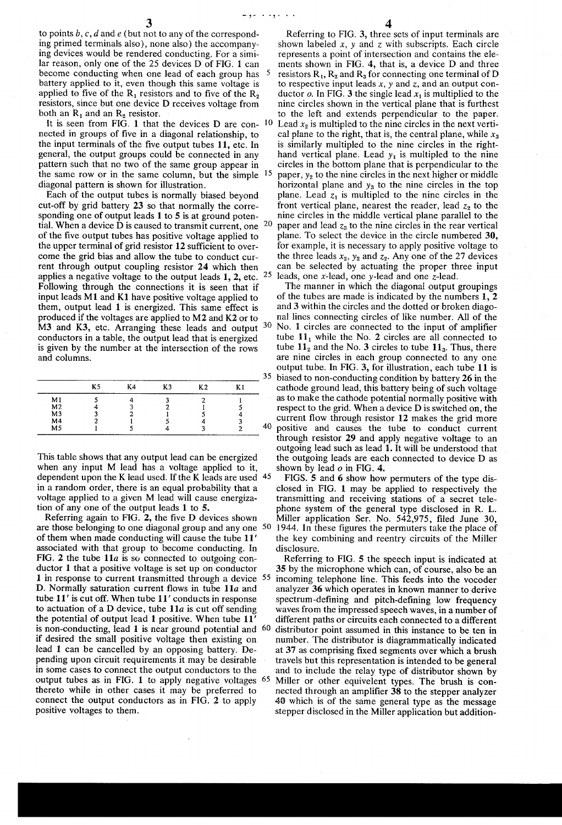v *..*.

to points  $b, c, d$  and  $e$  (but not to any of the corresponding primed terminals also), none also) the accompany ing devices would be rendered conducting. For a simi lar reason, only one of the 25 devices D of FIG. 1 can become conducting when one lead of each group has <sup>5</sup> battery applied to it, even though this same voltage is applied to five of the  $R_1$  resistors and to five of the  $R_2$ resistors, since but one device D receives voltage from both an  $R_1$  and an  $R_2$  resistor.

It is seen from FIG. 1 that the devices  $D$  are con-  $10$ nected in groups of five in a diagonal relationship, to the input terminals of the five output tubes 11, etc. In general, the output groups could be connected in any pattern such that no two of the same group appear in the same row or in the same column, but the simple  $15$ diagonal pattern is shown for illustration.

Each of the output tubes is normally biased beyond cut-off by grid battery 23 so that normally the corresponding one of output leads 1 to 5 is at ground potential. When a device  $\bar{D}$  is caused to transmit current, one  $20$ of the five output tubes has positive voltage applied to the upper terminal of grid resistor 12 sufficient to over come the grid bias and allow the tube to conduct cur rent through output coupling resistor 24 which then applies a negative voltage to the output leads 1, 2, etc.  $25$ Following through the connections it is seen that if input leads M1 and K1 have positive voltage applied to them, output lead 1 is energized. This same effect is produced if the voltages are applied to M2 and K2 or to M3 and K3, etc. Arranging these leads and output 30 conductors in a table, the output lead that is energized is given by the number at the intersection of the rows and columns.

|                | K5 | K4 | K3 | K <sub>2</sub> |            |
|----------------|----|----|----|----------------|------------|
| M <sub>1</sub> |    |    |    |                | <b>ALC</b> |
|                |    |    |    |                |            |
| M2<br>M3       |    |    |    |                |            |
| M4<br>M5       |    |    |    |                |            |
|                |    |    |    |                |            |

This table shows that any output lead can be energized when any input M lead has a voltage applied to it, dependent upon the K lead used. If the K leads are used 45 in a random order, there is an equal probability that a voltage applied to a given M lead will cause energiza tion of any one of the output leads 1 to 5.

Referring again to FIG. 2, the five D devices shown are those belonging to one diagonal group and any one  $50$ of them when made conducting will cause the tube 11 ' associated with that group to become conducting. In FIG. 2 the tube  $11a$  is so connected to outgoing conductor 1 that a positive voltage is set up on conductor 1 in response to current transmitted through a device 55 D. Normally saturation current flows in tube  $11a$  and tube 11' is cut off. When tube 11' conducts in response to actuation of a D device, tube  $11a$  is cut off sending the potential of output lead 1 positive. When tube 11' is non-conducting, lead 1 is near ground potential and 60 if desired the small positive voltage then existing on lead 1 can be cancelled by an opposing battery. De pending upon circuit requirements it may be desirable in some cases to connect the output conductors to the output tubes as in FIG. 1 to apply negative voltages 65 thereto while in other cases it may be preferred to connect the output conductors as in FIG. 2 to apply positive voltages to them.

Referring to FIG. 3, three sets of input terminals are shown labeled  $x$ ,  $y$  and  $z$  with subscripts. Each circle represents a point of intersection and contains the ele ments shown in FIG. 4, that is, a device D and three resistors  $R_1$ ,  $R_2$  and  $R_3$  for connecting one terminal of D to respective input leads  $x$ ,  $y$  and  $z$ , and an output conductor  $o$ . In FIG. 3 the single lead  $x_1$  is multiplied to the nine circles shown in the vertical plane that is furthest to the left and extends perpendicular to the paper. Lead  $x_2$  is multipled to the nine circles in the next vertical plane to the right, that is, the central plane, while  $x_3$ is similarly multipled to the nine circles in the right hand vertical plane. Lead  $y_1$  is multipled to the nine circles in the bottom plane that is perpendicular to the paper,  $y_2$  to the nine circles in the next higher or middle horizontal plane and  $y_3$  to the nine circles in the top plane. Lead  $z_1$  is multipled to the nine circles in the front vertical plane, nearest the reader, lead  $z_2$  to the nine circles in the middle vertical plane parallel to the paper and lead  $z_3$  to the nine circles in the rear vertical plane. To select the device in the circle numbered 30, for example, it is necessary to apply positive voltage to the three leads  $x_2$ ,  $y_2$  and  $z_2$ . Any one of the 27 devices can be selected by actuating the proper three input leads, one x-lead, one y-lead and one z~lead.

The manner in which the diagonal output groupings of the tubes are made is indicated by the numbers 1, 2 and 3 within the circles and the dotted or broken diago nal lines connecting circles of like number. All of the No. 1 circles are connected to the input of amplifier tube  $11_1$  while the No. 2 circles are all connected to tube  $11_2$  and the No. 3 circles to tube  $11_3$ . Thus, there are nine circles in each group connected to any one output tube. In FIG. 3, for illustration, each tube 11 is biased to non-conducting condition by battery 26 in the cathode ground lead, this battery being of such voltage as to make the cathode potential normally positive with respect to the grid. When a device D is switched on, the current flow through resistor  $12$  makes the grid more positive and causes the tube to conduct current through resistor 29 and apply negative voltage to an outgoing lead such as lead 1. It will be understood that the outgoing leads are each connected to device D as shown by lead  $o$  in FIG. 4.

FIGS. 5 and 6 show how permuters of the type dis closed in FIG. 1 may be applied to respectively the transmitting and receiving stations of a secret tele phone system of the general type disclosed in R. L. Miller application Ser. No. 542,975, filed June 30, 1944. In these figures the permuters take the place of the key combining and reentry circuits of the Miller disclosure.

Referring to FIG. 5 the speech input is indicated at 35 by the microphone which can, of course, also be an incoming telephone line. This feeds into the vocoder analyzer 36 which operates in known manner to derive spectrum-defining and pitch-defining low frequency waves from the impressed speech waves, in a number of different paths or circuits each connected to a different distributor point assumed in this instance to be ten in number. The distributor is diagrammatically indicated at 37 as comprising fixed segments over which a brush travels but this representation is intended to be general and to include the relay type of distributor shown by Miller or other equivelent types. The brush is connected through an amplifier 38 to the stepper analyzer 40 which is of the same general type as the message stepper disclosed in the Miller application but addition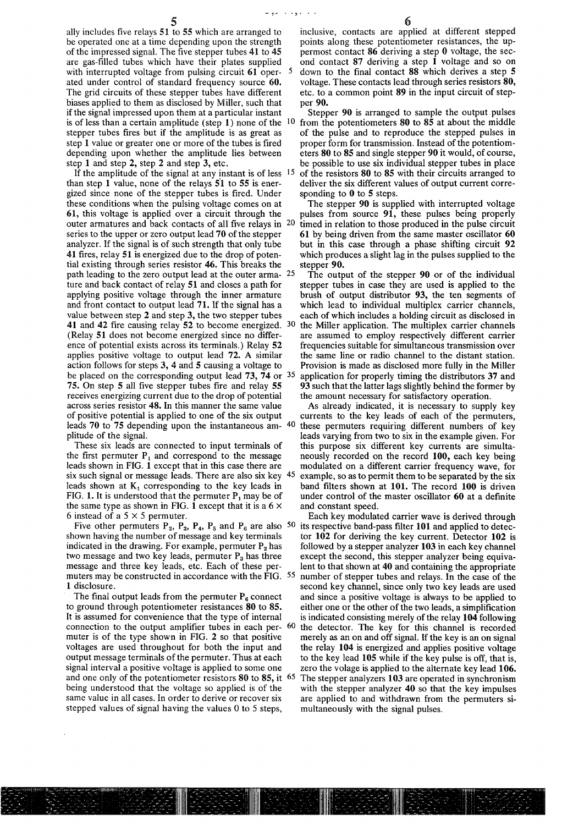ally includes five relays  $51$  to  $55$  which are arranged to be operated one at a time depending upon the strength of the impressed signal. The five stepper tubes  $41$  to  $45$ are gas-filled tubes which have their plates supplied with interrupted voltage from pulsing circuit 61 oper- 5 ated under control of standard frequency source 60. The grid circuits of these stepper tubes have different biases applied to them as disclosed by Miller, such that if the signal impressed upon them at a particular instant is of less than a certain amplitude (step 1) none of the  $10<sup>10</sup>$ stepper tubes fires but if the amplitude is as great as step 1 value or greater one or more of the tubes is fired depending upon whether the amplitude lies between step 1 and step 2, step 2 and step 3, etc.

If the amplitude of the signal at any instant is of less 5 than step 1 value, none of the relays  $51$  to  $55$  is energized since none of the stepper tubes is fired. Under these conditions when the pulsing voltage comes on at 61, this voltage is applied over a circuit through the outer armatures and back contacts of all five relays in  $20$ series to the upper or zero output lead 70 of the stepper analyzer. If the signal is of such strength that only tube 41 fires, relay 51 is energized due to the drop of potential existing through series resistor 46. This breaks the path leading to the zero output lead at the outer arma- 25 ture and back contact of relay 51 and closes a path for applying positive voltage through the inner armature and front contact to output lead 71. If the signal has a value between step 2 and step 3, the two stepper tubes 41 and 42 fire causing relay 52 to become energized.  $30<sup>2</sup>$ (Relay 51 does not become energized since no differ ence of potential exists across its terminals.) Relay 52 applies positive voltage to output lead 72. A similar action follows for steps 3, 4 and 5 causing a voltage to be placed on the corresponding output lead 73, 74 or 35 75. On step 5 all five stepper tubes fire and relay 55 receives energizing current due to the drop of potential across series resistor 48. In this manner the same value of positive potential is applied to one of the six output leads 70 to 75 depending upon the instantaneous am- <sup>40</sup> plitude of the signal.

These six leads are connected to input terminals of the first permuter  $P_1$  and correspond to the message leads shown in FIG. 1 except that in this case there are six such signal or message leads. There are also six key 45 leads shown at  $K_1$  corresponding to the key leads in FIG. 1. It is understood that the permuter  $P_1$  may be of the same type as shown in FIG. 1 except that it is a  $6 \times$ 6 instead of a  $5 \times 5$  permuter.

Five other permuters  $P_2$ ,  $P_3$ ,  $P_4$ ,  $P_5$  and  $P_6$  are also 50 shown having the number of message and key terminals indicated in the drawing. For example, permuter  $P_2$  has two message and two key leads, permuter  $P_3$  has three message and three key leads, etc. Each of these per muters may be constructed in accordance with the FIG. 55 1 disclosure.

The final output leads from the permuter  $P_6$  connect to ground through potentiometer resistances 80 to 85. It is assumed for convenience that the type of internal connection to the output amplifier tubes in each per-  $60$ muter is of the type shown in FIG. 2 so that positive voltages are used throughout for both the input and output message terminals of the permuter. Thus at each signal interval a positive voltage is applied to some one and one only of the potentiometer resistors 80 to 85, it 65 being understood that the voltage so applied is of the same value in all cases. In order to derive or recover six stepped values of signal having the values 0 to 5 steps,

Stepper 90 is arranged to sample the output pulses from the potentiometers 80 to 85 at about the middle of the pulse and to reproduce the stepped pulses in proper form for transmission. Instead of the potentiom eters 80 to 85 and single stepper 90 it would, of course, be possible to use six individual stepper tubes in place of the resistors 80 to 85 with their circuits arranged to

deliver the six different values of output current corre sponding to 0 to 5 steps.

The stepper 90 is supplied with interrupted voltage pulses from source 91, these pulses being properly timed in relation to those produced in the pulse circuit 61 by being driven from the same master oscillator 60 but in this case through a phase shifting circuit 92 which produces a slight lag in the pulses supplied to the stepper 90.

The output of the stepper 90 or of the individual stepper tubes in case they are used is applied to the brush of output distributor 93, the ten segments of which lead to individual multiplex carrier channels, each of which includes a holding circuit as disclosed in the Miller application. The multiplex carrier channels are assumed to employ respectively different carrier frequencies suitable for simultaneous transmission over the same line or radio channel to the distant station. Provision is made as disclosed more fully in the Miller application for properly timing the distributors 37 and 93 such that the latter lags slightly behind the former by the amount necessary for satisfactory operation.

As already indicated, it is necessary to supply key currents to the key leads of each of the permuters, these permuters requiring different numbers of key leads varying from two to six in the example given. For this purpose six different key currents are simulta neously recorded on the record 100, each key being modulated on a different carrier frequency wave, for example, so as to permit them to be separated by the six band filters shown at 101. The record 100 is driven under control of the master oscillator 60 at a definite and constant speed.

Each key modulated carrier wave is derived through its respective band-pass filter 101 and applied to detector 102 for deriving the key current. Detector 102 is followed by a stepper analyzer 103 in each key channel except the second, this stepper analyzer being equiva lent to that shown at 40 and containing the appropriate number of stepper tubes and relays. In the case of the second key channel, since only two key leads are used and since a positive voltage is always to be applied to either one or the other of the two leads, a simplification is indicated consisting merely of the relay 104 following the detector. The key for this channel is recorded merely as an on and off signal. If the key is an on signal the relay 104 is energized and applies positive voltage to the key lead 105 while if the key pulse is off, that is, zero the volage is applied to the alternate key lead 106. The stepper analyzers 103 are operated in synchronism with the stepper analyzer 40 so that the key impulses are applied to and withdrawn from the permuters si multaneously with the signal pulses.

6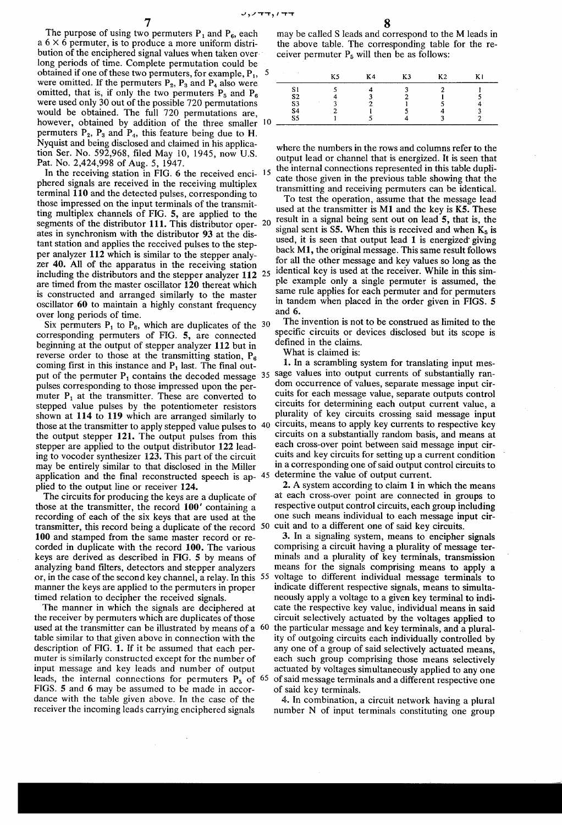The purpose of using two permuters  $P_1$  and  $P_6$ , each a  $6 \times 6$  permuter, is to produce a more uniform distribution of the enciphered signal values when taken over long periods of time. Complete permutation could be obtained if one of these two permuters, for example, P<sub>1</sub>, 5 were omitted. If the permuters  $P_2$ ,  $P_3$  and  $P_4$  also were omitted, that is, if only the two permuters  $P_5$  and  $P_6$ were used only 30 out of the possible 720 permutations would be obtained. The full 720 permutations are, however, obtained by addition of the three smaller 10 permuters  $P_2$ ,  $P_3$  and  $P_4$ , this feature being due to H. Nyquist and being disclosed and claimed in his application Ser. No. 592,968, filed May 10, 1945, now U.S. Pat. No. 2,424,998 of Aug. 5, 1947.

In the receiving station in FIG. 6 the received enci-15 phered signals are received in the receiving multiplex terminal 110 and the detected pulses, corresponding to those impressed on the input terminals of the transmitting multiplex channels of FIG. 5, are applied to the segments of the distributor 111. This distributor oper- 20 ates in synchronism with the distributor 93 at the distant station and applies the received pulses to the stepper analyzer 112 which is similar to the stepper analyzer 40. All of the apparatus in the receiving station including the distributors and the stepper analyzer 112 <sup>25</sup> are timed from the master oscillator 120 thereat which is constructed and arranged similarly to the master oscillator 60 to maintain a highly constant frequency over long periods of time.

Six permuters  $P_1$  to  $P_6$ , which are duplicates of the 30 corresponding permuters of FIG. 5, are connected beginning at the output of stepper analyzer 112 but in reverse order to those at the transmitting station,  $P_6$ coming first in this instance and  $P_1$  last. The final output of the permuter  $P_1$  contains the decoded message  $35$ pulses corresponding to those impressed upon the permuter  $P_1$  at the transmitter. These are converted to stepped value pulses by the potentiometer resistors shown at 114 to 119 which are arranged similarly to 40 those at the transmitter to apply stepped value pulses to the output stepper 121. The output pulses from this stepper are applied to the output distributor 122 leading to vocoder synthesizer 123. This part of the circuit may be entirely similar to that disclosed in the Miller application and the final reconstructed speech is ap- 45 plied to the output line or receiver 124.

The circuits for producing the keys are a duplicate of those at the transmitter, the record 100' containing a recording of each of the six keys that are used at the transmitter, this record being a duplicate of the record 50 100 and stamped from the same master record or recorded in duplicate with the record 100. The various keys are derived as described in FIG. 5 by means of analyzing band filters, detectors and stepper analyzers or, in the case of the second key channel, a relay. In this 55 voltage to different individual message terminals to manner the keys are applied to the permuters in proper timed relation to decipher the received signals.

The manner in which the signals are deciphered at the receiver by permuters which are duplicates of those used at the transmitter can be illustrated by means of a 60 table similar to that given above in connection with the description of FIG. 1. If it be assumed that each permuter is similarly constructed except for the number of input message and key leads and number of output leads, the internal connections for permuters  $P_5$  of 65 FIGS. 5 and 6 may be assumed to be made in accordance with the table given above. In the case of the receiver the incoming leads carrying enciphered signals

may be called S leads and correspond to the M leads in the above table. The corresponding table for the receiver permuter  $P_5$  will then be as follows:

|                | K5 | K4 | K3 | K <sub>2</sub> | V 1 |
|----------------|----|----|----|----------------|-----|
| S1             |    |    |    |                |     |
| S <sub>2</sub> |    |    |    |                |     |
| S3             |    |    |    |                |     |
| S <sub>4</sub> |    |    |    |                |     |
| S <sub>5</sub> |    |    |    |                |     |

where the numbers in the rows and columns refer to the output lead or channel that is energized. It is seen that the internal connections represented in this table duplicate those given in the previous table showing that the transmitting and receiving permuters can be identical.

To test the operation, assume that the message lead used at the transmitter is M1 and the key is K5. These result in a signal being sent out on lead 5, that is, the signal sent is  $S5$ . When this is received and when  $K_5$  is used, it is seen that output lead 1 is energized giving back M1, the original message. This same result follows for all the other message and key values so long as the identical key is used at the receiver. While in this simple example only a single permuter is assumed, the same rule applies for each permuter and for permuters in tandem when placed in the order given in FIGS. 5 and 6.

The invention is not to be construed as limited to the specific circuits or devices disclosed but its scope is defined in the claims.

What is claimed is:

1. In a scrambling system for translating input message values into output currents of substantially random occurrence of values, separate message input circuits for each message value, separate outputs control circuits for determining each output current value, a plurality of key circuits crossing said message input circuits, means to apply key currents to respective key circuits on a substantially random basis, and means at each cross-over point between said message input circuits and key circuits for setting up a current condition in a corresponding one of said output control circuits to determine the value of output current.

2. A system according to claim 1 in which the means at each cross-over point are connected in groups to respective output control circuits, each group including one such means individual to each message input circuit and to a different one of said key circuits.

3. In a signaling system, means to encipher signals comprising a circuit having a plurality of message terminals and a plurality of key terminals, transmission means for the signals comprising means to apply a indicate different respective signals, means to simultaneously apply a voltage to a given key terminal to indicate the respective key value, individual means in said circuit selectively actuated by the voltages applied to the particular message and key terminals, and a plurality of outgoing circuits each individually controlled by any one of a group of said selectively actuated means, each such group comprising those means selectively actuated by voltages simultaneously applied to any one of said message terminals and a different respective one of said key terminals.

4. In combination, a circuit network having a plural number N of input terminals constituting one group